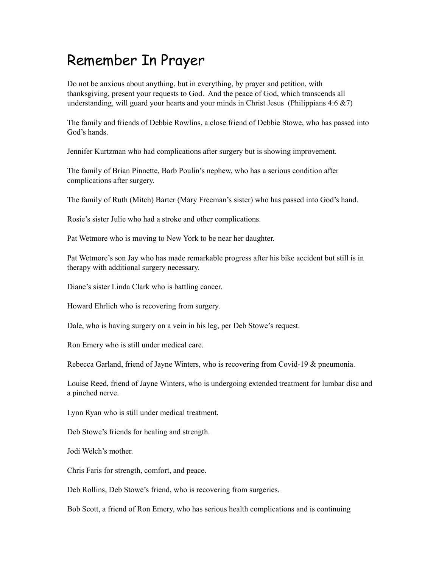## Remember In Prayer

Do not be anxious about anything, but in everything, by prayer and petition, with thanksgiving, present your requests to God. And the peace of God, which transcends all understanding, will guard your hearts and your minds in Christ Jesus (Philippians  $4:6 \& 7$ )

The family and friends of Debbie Rowlins, a close friend of Debbie Stowe, who has passed into God's hands.

Jennifer Kurtzman who had complications after surgery but is showing improvement.

The family of Brian Pinnette, Barb Poulin's nephew, who has a serious condition after complications after surgery.

The family of Ruth (Mitch) Barter (Mary Freeman's sister) who has passed into God's hand.

Rosie's sister Julie who had a stroke and other complications.

Pat Wetmore who is moving to New York to be near her daughter.

Pat Wetmore's son Jay who has made remarkable progress after his bike accident but still is in therapy with additional surgery necessary.

Diane's sister Linda Clark who is battling cancer.

Howard Ehrlich who is recovering from surgery.

Dale, who is having surgery on a vein in his leg, per Deb Stowe's request.

Ron Emery who is still under medical care.

Rebecca Garland, friend of Jayne Winters, who is recovering from Covid-19 & pneumonia.

Louise Reed, friend of Jayne Winters, who is undergoing extended treatment for lumbar disc and a pinched nerve.

Lynn Ryan who is still under medical treatment.

Deb Stowe's friends for healing and strength.

Jodi Welch's mother.

Chris Faris for strength, comfort, and peace.

Deb Rollins, Deb Stowe's friend, who is recovering from surgeries.

Bob Scott, a friend of Ron Emery, who has serious health complications and is continuing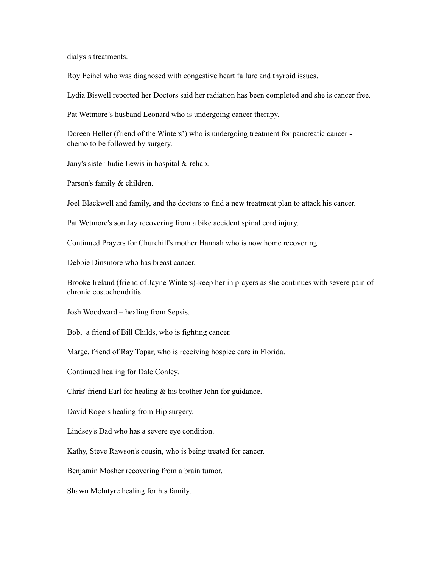dialysis treatments.

Roy Feihel who was diagnosed with congestive heart failure and thyroid issues.

Lydia Biswell reported her Doctors said her radiation has been completed and she is cancer free.

Pat Wetmore's husband Leonard who is undergoing cancer therapy.

Doreen Heller (friend of the Winters') who is undergoing treatment for pancreatic cancer chemo to be followed by surgery.

Jany's sister Judie Lewis in hospital & rehab.

Parson's family & children.

Joel Blackwell and family, and the doctors to find a new treatment plan to attack his cancer.

Pat Wetmore's son Jay recovering from a bike accident spinal cord injury.

Continued Prayers for Churchill's mother Hannah who is now home recovering.

Debbie Dinsmore who has breast cancer.

Brooke Ireland (friend of Jayne Winters)-keep her in prayers as she continues with severe pain of chronic costochondritis.

Josh Woodward – healing from Sepsis.

Bob, a friend of Bill Childs, who is fighting cancer.

Marge, friend of Ray Topar, who is receiving hospice care in Florida.

Continued healing for Dale Conley.

Chris' friend Earl for healing & his brother John for guidance.

David Rogers healing from Hip surgery.

Lindsey's Dad who has a severe eye condition.

Kathy, Steve Rawson's cousin, who is being treated for cancer.

Benjamin Mosher recovering from a brain tumor.

Shawn McIntyre healing for his family.